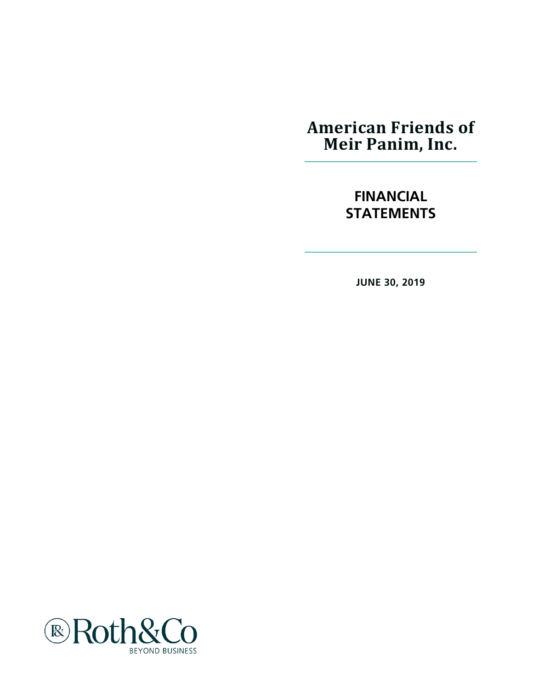# **American Friends of Meir Panim, Inc.**

# **FINANCIAL STATEMENTS**

**JUNE 30, 2019**

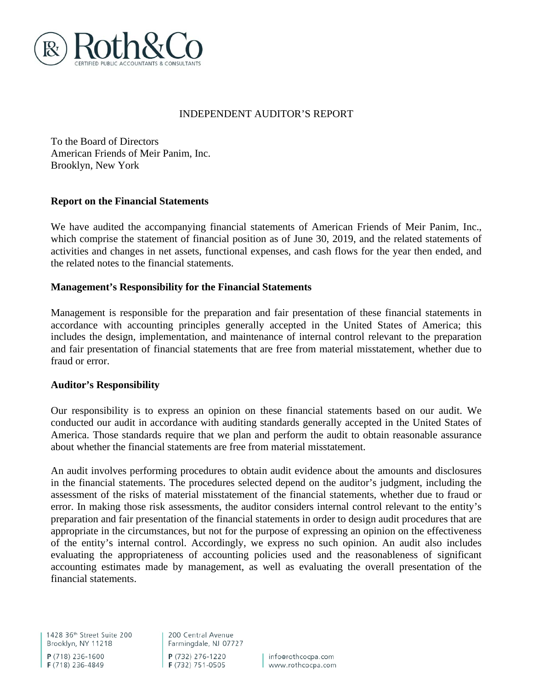

#### INDEPENDENT AUDITOR'S REPORT

To the Board of Directors American Friends of Meir Panim, Inc. Brooklyn, New York

#### **Report on the Financial Statements**

We have audited the accompanying financial statements of American Friends of Meir Panim, Inc., which comprise the statement of financial position as of June 30, 2019, and the related statements of activities and changes in net assets, functional expenses, and cash flows for the year then ended, and the related notes to the financial statements.

#### **Management's Responsibility for the Financial Statements**

Management is responsible for the preparation and fair presentation of these financial statements in accordance with accounting principles generally accepted in the United States of America; this includes the design, implementation, and maintenance of internal control relevant to the preparation and fair presentation of financial statements that are free from material misstatement, whether due to fraud or error.

#### **Auditor's Responsibility**

Our responsibility is to express an opinion on these financial statements based on our audit. We conducted our audit in accordance with auditing standards generally accepted in the United States of America. Those standards require that we plan and perform the audit to obtain reasonable assurance about whether the financial statements are free from material misstatement.

An audit involves performing procedures to obtain audit evidence about the amounts and disclosures in the financial statements. The procedures selected depend on the auditor's judgment, including the assessment of the risks of material misstatement of the financial statements, whether due to fraud or error. In making those risk assessments, the auditor considers internal control relevant to the entity's preparation and fair presentation of the financial statements in order to design audit procedures that are appropriate in the circumstances, but not for the purpose of expressing an opinion on the effectiveness of the entity's internal control. Accordingly, we express no such opinion. An audit also includes evaluating the appropriateness of accounting policies used and the reasonableness of significant accounting estimates made by management, as well as evaluating the overall presentation of the financial statements.

1428 36th Street Suite 200 Brooklyn, NY 11218

P (718) 236-1600 F (718) 236-4849

200 Central Avenue Farmingdale, NJ 07727

P (732) 276-1220 F (732) 751-0505

info@rothcocpa.com www.rothcocpa.com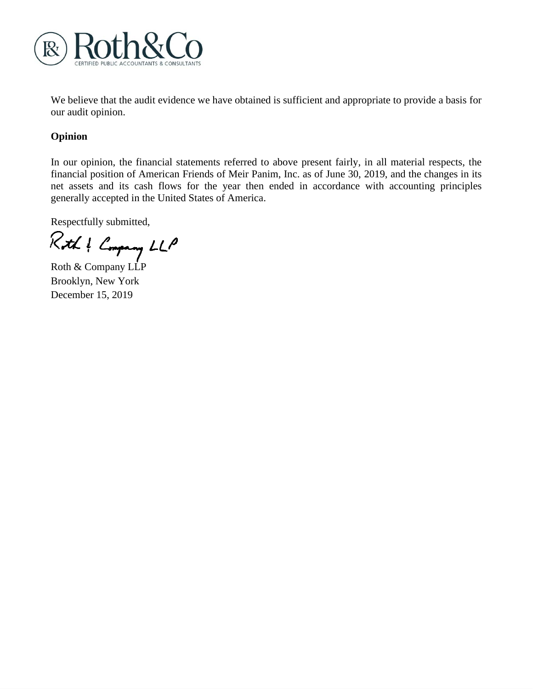

We believe that the audit evidence we have obtained is sufficient and appropriate to provide a basis for our audit opinion.

### **Opinion**

In our opinion, the financial statements referred to above present fairly, in all material respects, the financial position of American Friends of Meir Panim, Inc. as of June 30, 2019, and the changes in its net assets and its cash flows for the year then ended in accordance with accounting principles generally accepted in the United States of America.

Respectfully submitted,

Roth ! Company LLP

Roth & Company LLP Brooklyn, New York December 15, 2019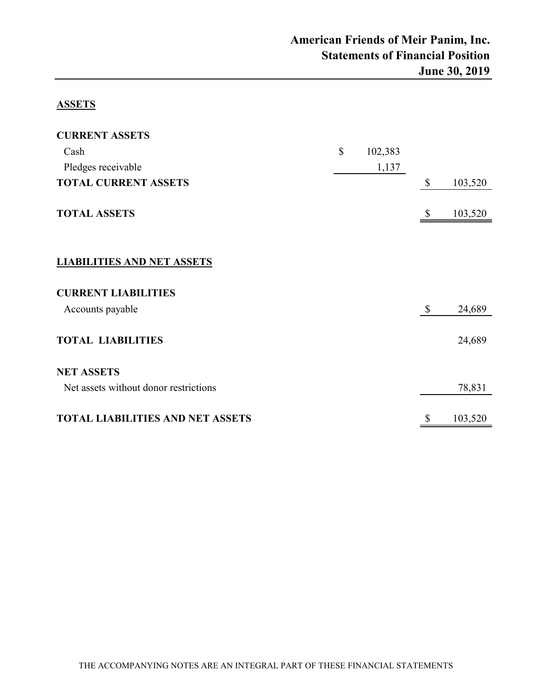## **American Friends of Meir Panim, Inc. Statements of Financial Position June 30, 2019**

#### **ASSETS**

| <b>CURRENT ASSETS</b>                   |               |                            |         |
|-----------------------------------------|---------------|----------------------------|---------|
| Cash                                    | \$<br>102,383 |                            |         |
| Pledges receivable                      | 1,137         |                            |         |
| <b>TOTAL CURRENT ASSETS</b>             |               | $\boldsymbol{\mathsf{S}}$  | 103,520 |
| <b>TOTAL ASSETS</b>                     |               | $\boldsymbol{\mathcal{S}}$ | 103,520 |
|                                         |               |                            |         |
| <b>LIABILITIES AND NET ASSETS</b>       |               |                            |         |
| <b>CURRENT LIABILITIES</b>              |               |                            |         |
| Accounts payable                        |               | $\boldsymbol{\mathsf{S}}$  | 24,689  |
| <b>TOTAL LIABILITIES</b>                |               |                            | 24,689  |
| <b>NET ASSETS</b>                       |               |                            |         |
| Net assets without donor restrictions   |               |                            | 78,831  |
| <b>TOTAL LIABILITIES AND NET ASSETS</b> |               |                            | 103,520 |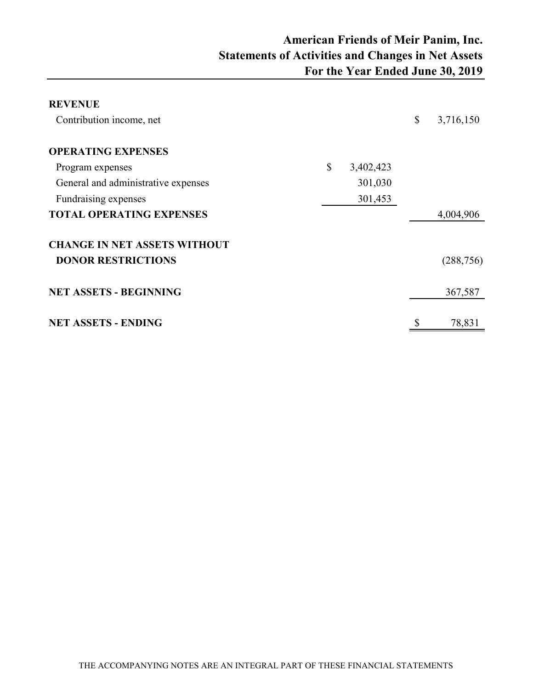## **American Friends of Meir Panim, Inc. Statements of Activities and Changes in Net Assets For the Year Ended June 30, 2019**

| <b>REVENUE</b>                      |                 |                 |
|-------------------------------------|-----------------|-----------------|
| Contribution income, net            |                 | \$<br>3,716,150 |
|                                     |                 |                 |
| <b>OPERATING EXPENSES</b>           |                 |                 |
| Program expenses                    | \$<br>3,402,423 |                 |
| General and administrative expenses | 301,030         |                 |
| Fundraising expenses                | 301,453         |                 |
| <b>TOTAL OPERATING EXPENSES</b>     |                 | 4,004,906       |
| <b>CHANGE IN NET ASSETS WITHOUT</b> |                 |                 |
| <b>DONOR RESTRICTIONS</b>           |                 | (288, 756)      |
| <b>NET ASSETS - BEGINNING</b>       |                 | 367,587         |
| <b>NET ASSETS - ENDING</b>          |                 | \$<br>78,831    |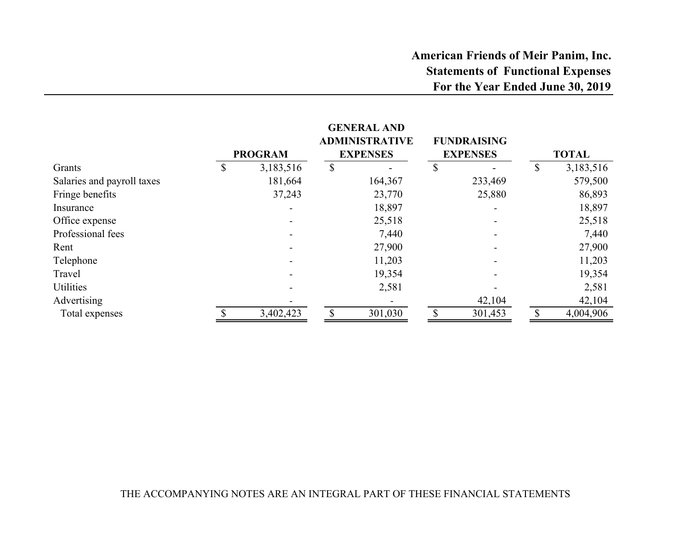## **American Friends of Meir Panim, Inc. Statements of Functional Expenses For the Year Ended June 30, 2019**

|                            |              |                |                    | <b>GENERAL AND</b><br><b>ADMINISTRATIVE</b> |   | <b>FUNDRAISING</b> |               |              |
|----------------------------|--------------|----------------|--------------------|---------------------------------------------|---|--------------------|---------------|--------------|
|                            |              | <b>PROGRAM</b> |                    | <b>EXPENSES</b>                             |   | <b>EXPENSES</b>    |               | <b>TOTAL</b> |
| Grants                     | <sup>S</sup> | 3,183,516      | $\mathbb{S}$       |                                             |   |                    | \$            | 3,183,516    |
| Salaries and payroll taxes |              | 181,664        |                    | 164,367                                     |   | 233,469            |               | 579,500      |
| Fringe benefits            |              | 37,243         |                    | 23,770                                      |   | 25,880             |               | 86,893       |
| Insurance                  |              |                |                    | 18,897                                      |   |                    |               | 18,897       |
| Office expense             |              |                |                    | 25,518                                      |   |                    |               | 25,518       |
| Professional fees          |              |                |                    | 7,440                                       |   |                    |               | 7,440        |
| Rent                       |              |                |                    | 27,900                                      |   |                    |               | 27,900       |
| Telephone                  |              |                |                    | 11,203                                      |   |                    |               | 11,203       |
| Travel                     |              |                |                    | 19,354                                      |   |                    |               | 19,354       |
| Utilities                  |              |                |                    | 2,581                                       |   |                    |               | 2,581        |
| Advertising                |              |                |                    |                                             |   | 42,104             |               | 42,104       |
| Total expenses             |              | 3,402,423      | $\mathbf{\hat{S}}$ | 301,030                                     | ¢ | 301,453            | $\mathcal{R}$ | 4,004,906    |

THE ACCOMPANYING NOTES ARE AN INTEGRAL PART OF THESE FINANCIAL STATEMENTS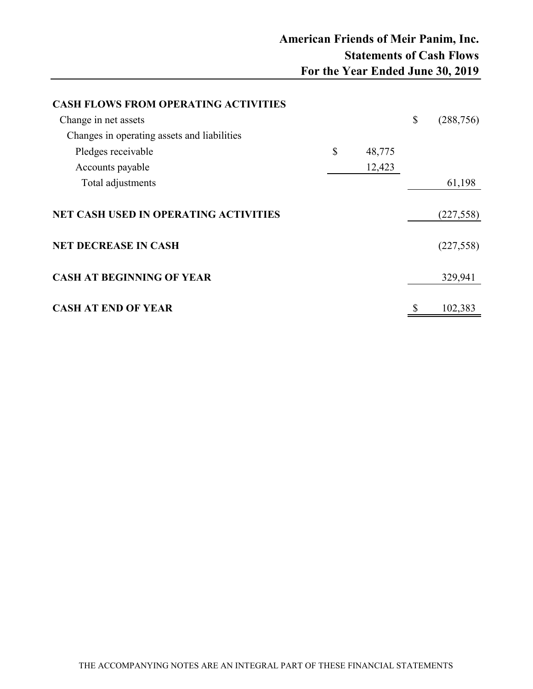## **Statements of Cash Flows For the Year Ended June 30, 2019 American Friends of Meir Panim, Inc.**

| <b>CASH FLOWS FROM OPERATING ACTIVITIES</b>  |              |                  |
|----------------------------------------------|--------------|------------------|
| Change in net assets                         |              | \$<br>(288, 756) |
| Changes in operating assets and liabilities  |              |                  |
| Pledges receivable                           | \$<br>48,775 |                  |
| Accounts payable                             | 12,423       |                  |
| Total adjustments                            |              | 61,198           |
| <b>NET CASH USED IN OPERATING ACTIVITIES</b> |              | (227, 558)       |
| <b>NET DECREASE IN CASH</b>                  |              | (227, 558)       |
| <b>CASH AT BEGINNING OF YEAR</b>             |              | 329,941          |
| <b>CASH AT END OF YEAR</b>                   |              | 102,383          |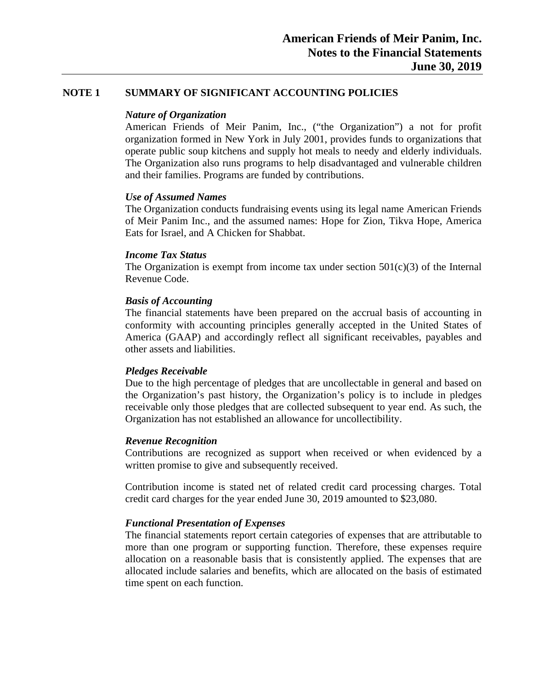#### **NOTE 1 SUMMARY OF SIGNIFICANT ACCOUNTING POLICIES**

#### *Nature of Organization*

American Friends of Meir Panim, Inc., ("the Organization") a not for profit organization formed in New York in July 2001, provides funds to organizations that operate public soup kitchens and supply hot meals to needy and elderly individuals. The Organization also runs programs to help disadvantaged and vulnerable children and their families. Programs are funded by contributions.

#### *Use of Assumed Names*

The Organization conducts fundraising events using its legal name American Friends of Meir Panim Inc., and the assumed names: Hope for Zion, Tikva Hope, America Eats for Israel, and A Chicken for Shabbat.

#### *Income Tax Status*

The Organization is exempt from income tax under section  $501(c)(3)$  of the Internal Revenue Code.

#### *Basis of Accounting*

The financial statements have been prepared on the accrual basis of accounting in conformity with accounting principles generally accepted in the United States of America (GAAP) and accordingly reflect all significant receivables, payables and other assets and liabilities.

#### *Pledges Receivable*

Due to the high percentage of pledges that are uncollectable in general and based on the Organization's past history, the Organization's policy is to include in pledges receivable only those pledges that are collected subsequent to year end. As such, the Organization has not established an allowance for uncollectibility.

#### *Revenue Recognition*

Contributions are recognized as support when received or when evidenced by a written promise to give and subsequently received.

Contribution income is stated net of related credit card processing charges. Total credit card charges for the year ended June 30, 2019 amounted to \$23,080.

#### *Functional Presentation of Expenses*

The financial statements report certain categories of expenses that are attributable to more than one program or supporting function. Therefore, these expenses require allocation on a reasonable basis that is consistently applied. The expenses that are allocated include salaries and benefits, which are allocated on the basis of estimated time spent on each function.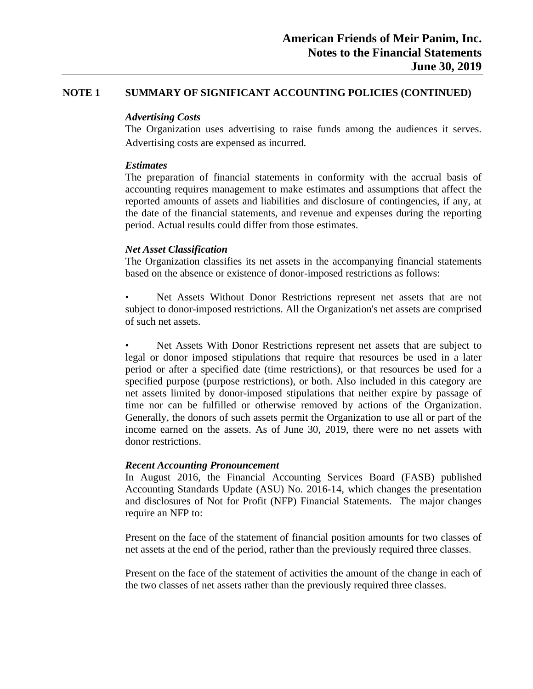#### **NOTE 1 SUMMARY OF SIGNIFICANT ACCOUNTING POLICIES (CONTINUED)**

#### *Advertising Costs*

The Organization uses advertising to raise funds among the audiences it serves. Advertising costs are expensed as incurred.

#### *Estimates*

The preparation of financial statements in conformity with the accrual basis of accounting requires management to make estimates and assumptions that affect the reported amounts of assets and liabilities and disclosure of contingencies, if any, at the date of the financial statements, and revenue and expenses during the reporting period. Actual results could differ from those estimates.

#### *Net Asset Classification*

The Organization classifies its net assets in the accompanying financial statements based on the absence or existence of donor-imposed restrictions as follows:

• Net Assets Without Donor Restrictions represent net assets that are not subject to donor-imposed restrictions. All the Organization's net assets are comprised of such net assets.

• Net Assets With Donor Restrictions represent net assets that are subject to legal or donor imposed stipulations that require that resources be used in a later period or after a specified date (time restrictions), or that resources be used for a specified purpose (purpose restrictions), or both. Also included in this category are net assets limited by donor-imposed stipulations that neither expire by passage of time nor can be fulfilled or otherwise removed by actions of the Organization. Generally, the donors of such assets permit the Organization to use all or part of the income earned on the assets. As of June 30, 2019, there were no net assets with donor restrictions.

#### *Recent Accounting Pronouncement*

In August 2016, the Financial Accounting Services Board (FASB) published Accounting Standards Update (ASU) No. 2016-14, which changes the presentation and disclosures of Not for Profit (NFP) Financial Statements. The major changes require an NFP to:

Present on the face of the statement of financial position amounts for two classes of net assets at the end of the period, rather than the previously required three classes.

Present on the face of the statement of activities the amount of the change in each of the two classes of net assets rather than the previously required three classes.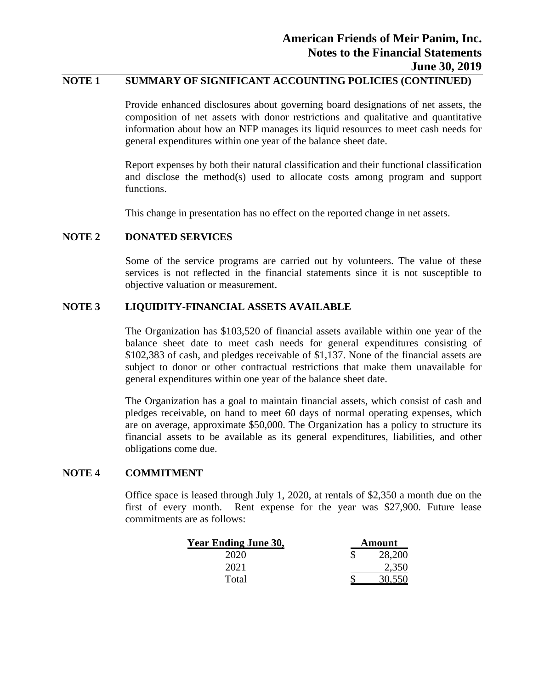#### **NOTE 1 SUMMARY OF SIGNIFICANT ACCOUNTING POLICIES (CONTINUED)**

Provide enhanced disclosures about governing board designations of net assets, the composition of net assets with donor restrictions and qualitative and quantitative information about how an NFP manages its liquid resources to meet cash needs for general expenditures within one year of the balance sheet date.

Report expenses by both their natural classification and their functional classification and disclose the method(s) used to allocate costs among program and support functions.

This change in presentation has no effect on the reported change in net assets.

#### **NOTE 2 DONATED SERVICES**

Some of the service programs are carried out by volunteers. The value of these services is not reflected in the financial statements since it is not susceptible to objective valuation or measurement.

#### **NOTE 3 LIQUIDITY-FINANCIAL ASSETS AVAILABLE**

The Organization has \$103,520 of financial assets available within one year of the balance sheet date to meet cash needs for general expenditures consisting of \$102,383 of cash, and pledges receivable of \$1,137. None of the financial assets are subject to donor or other contractual restrictions that make them unavailable for general expenditures within one year of the balance sheet date.

The Organization has a goal to maintain financial assets, which consist of cash and pledges receivable, on hand to meet 60 days of normal operating expenses, which are on average, approximate \$50,000. The Organization has a policy to structure its financial assets to be available as its general expenditures, liabilities, and other obligations come due.

#### **NOTE 4 COMMITMENT**

Office space is leased through July 1, 2020, at rentals of \$2,350 a month due on the first of every month. Rent expense for the year was \$27,900. Future lease commitments are as follows:

| <b>Year Ending June 30,</b> | <b>Amount</b> |  |  |
|-----------------------------|---------------|--|--|
| 2020                        | 28,200        |  |  |
| 2021                        | 2,350         |  |  |
| Total                       |               |  |  |